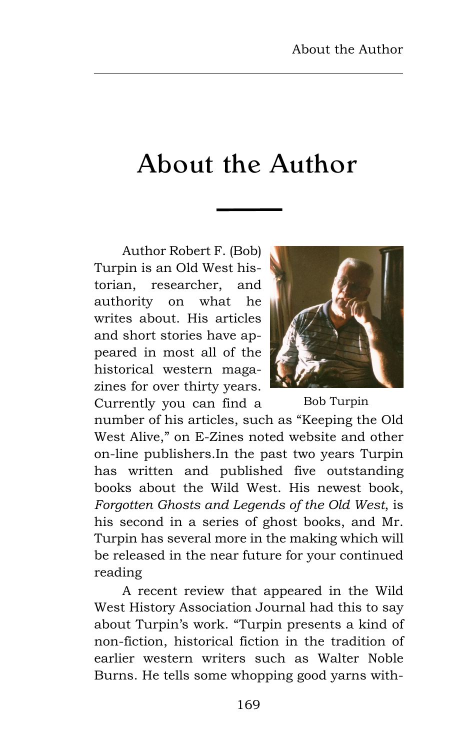## About the Author

Author Robert F. (Bob) Turpin is an Old West historian, researcher, and authority on what he writes about. His articles and short stories have appeared in most all of the historical western magazines for over thirty years. Currently you can find a



Bob Turpin

number of his articles, such as "Keeping the Old West Alive," on E-Zines noted website and other on-line publishers.In the past two years Turpin has written and published five outstanding books about the Wild West. His newest book, *Forgotten Ghosts and Legends of the Old West*, is his second in a series of ghost books, and Mr. Turpin has several more in the making which will be released in the near future for your continued reading

A recent review that appeared in the Wild West History Association Journal had this to say about Turpin's work. "Turpin presents a kind of non-fiction, historical fiction in the tradition of earlier western writers such as Walter Noble Burns. He tells some whopping good yarns with